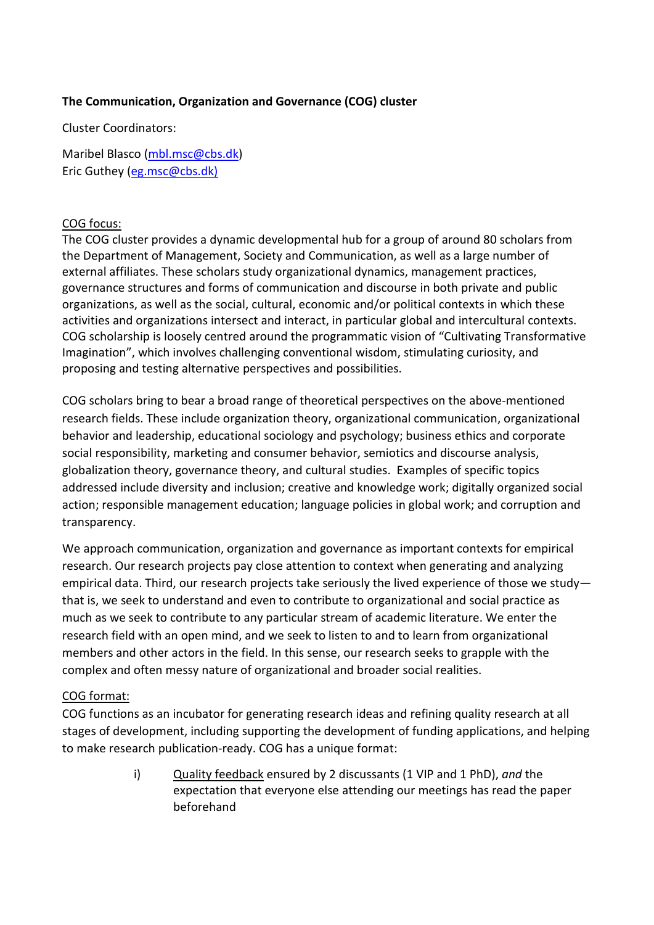# **The Communication, Organization and Governance (COG) cluster**

Cluster Coordinators:

Maribel Blasco [\(mbl.msc@cbs.dk\)](mailto:mbl.msc@cbs.dk) Eric Guthey [\(eg.msc@cbs.dk\)](mailto:eg.msc@cbs.dk)

#### COG focus:

The COG cluster provides a dynamic developmental hub for a group of around 80 scholars from the Department of Management, Society and Communication, as well as a large number of external affiliates. These scholars study organizational dynamics, management practices, governance structures and forms of communication and discourse in both private and public organizations, as well as the social, cultural, economic and/or political contexts in which these activities and organizations intersect and interact, in particular global and intercultural contexts. COG scholarship is loosely centred around the programmatic vision of "Cultivating Transformative Imagination", which involves challenging conventional wisdom, stimulating curiosity, and proposing and testing alternative perspectives and possibilities.

COG scholars bring to bear a broad range of theoretical perspectives on the above-mentioned research fields. These include organization theory, organizational communication, organizational behavior and leadership, educational sociology and psychology; business ethics and corporate social responsibility, marketing and consumer behavior, semiotics and discourse analysis, globalization theory, governance theory, and cultural studies. Examples of specific topics addressed include diversity and inclusion; creative and knowledge work; digitally organized social action; responsible management education; language policies in global work; and corruption and transparency.

We approach communication, organization and governance as important contexts for empirical research. Our research projects pay close attention to context when generating and analyzing empirical data. Third, our research projects take seriously the lived experience of those we study that is, we seek to understand and even to contribute to organizational and social practice as much as we seek to contribute to any particular stream of academic literature. We enter the research field with an open mind, and we seek to listen to and to learn from organizational members and other actors in the field. In this sense, our research seeks to grapple with the complex and often messy nature of organizational and broader social realities.

# COG format:

COG functions as an incubator for generating research ideas and refining quality research at all stages of development, including supporting the development of funding applications, and helping to make research publication-ready. COG has a unique format:

> i) Quality feedback ensured by 2 discussants (1 VIP and 1 PhD), *and* the expectation that everyone else attending our meetings has read the paper beforehand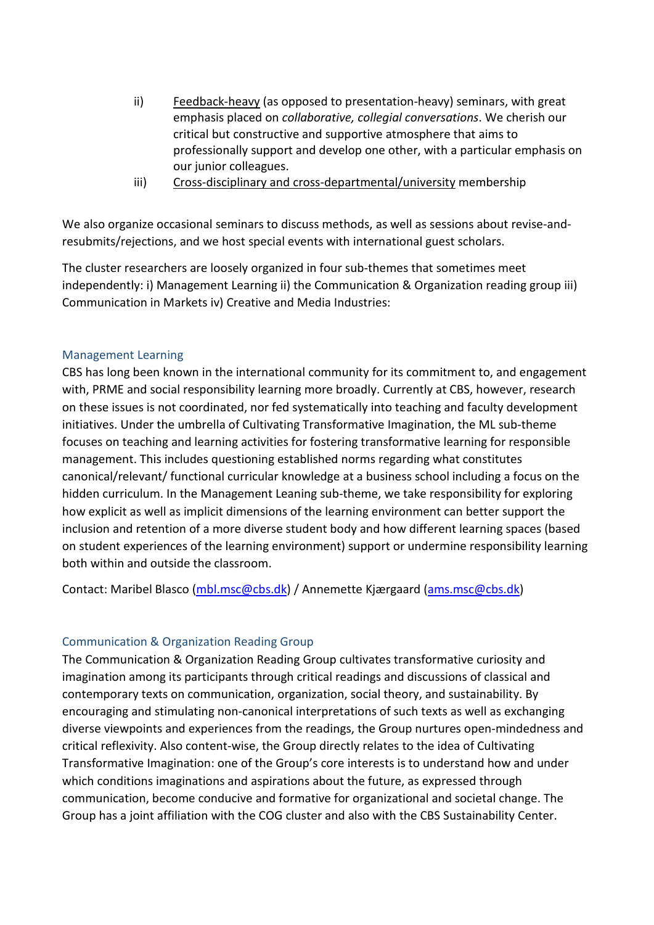- ii) Feedback-heavy (as opposed to presentation-heavy) seminars, with great emphasis placed on *collaborative, collegial conversations*. We cherish our critical but constructive and supportive atmosphere that aims to professionally support and develop one other, with a particular emphasis on our junior colleagues.
- iii) Cross-disciplinary and cross-departmental/university membership

We also organize occasional seminars to discuss methods, as well as sessions about revise-andresubmits/rejections, and we host special events with international guest scholars.

The cluster researchers are loosely organized in four sub-themes that sometimes meet independently: i) Management Learning ii) the Communication & Organization reading group iii) Communication in Markets iv) Creative and Media Industries:

# Management Learning

CBS has long been known in the international community for its commitment to, and engagement with, PRME and social responsibility learning more broadly. Currently at CBS, however, research on these issues is not coordinated, nor fed systematically into teaching and faculty development initiatives. Under the umbrella of Cultivating Transformative Imagination, the ML sub-theme focuses on teaching and learning activities for fostering transformative learning for responsible management. This includes questioning established norms regarding what constitutes canonical/relevant/ functional curricular knowledge at a business school including a focus on the hidden curriculum. In the Management Leaning sub-theme, we take responsibility for exploring how explicit as well as implicit dimensions of the learning environment can better support the inclusion and retention of a more diverse student body and how different learning spaces (based on student experiences of the learning environment) support or undermine responsibility learning both within and outside the classroom.

Contact: Maribel Blasco [\(mbl.msc@cbs.dk\)](mailto:mbl.msc@cbs.dk) / Annemette Kjærgaard [\(ams.msc@cbs.dk\)](mailto:ams.msc@cbs.dk)

# Communication & Organization Reading Group

The Communication & Organization Reading Group cultivates transformative curiosity and imagination among its participants through critical readings and discussions of classical and contemporary texts on communication, organization, social theory, and sustainability. By encouraging and stimulating non-canonical interpretations of such texts as well as exchanging diverse viewpoints and experiences from the readings, the Group nurtures open-mindedness and critical reflexivity. Also content-wise, the Group directly relates to the idea of Cultivating Transformative Imagination: one of the Group's core interests is to understand how and under which conditions imaginations and aspirations about the future, as expressed through communication, become conducive and formative for organizational and societal change. The Group has a joint affiliation with the COG cluster and also with the CBS Sustainability Center.